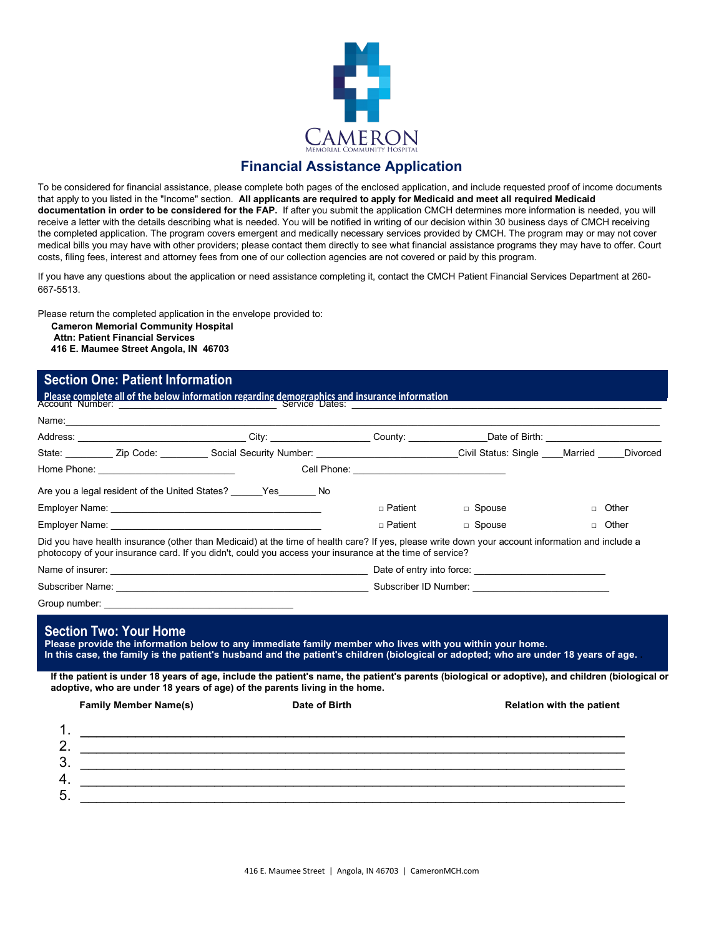

## **Financial Assistance Application**

To be considered for financial assistance, please complete both pages of the enclosed application, and include requested proof of income documents that apply to you listed in the "Income" section. **All applicants are required to apply for Medicaid and meet all required Medicaid documentation in order to be considered for the FAP.** If after you submit the application CMCH determines more information is needed, you will receive a letter with the details describing what is needed. You will be notified in writing of our decision within 30 business days of CMCH receiving the completed application. The program covers emergent and medically necessary services provided by CMCH. The program may or may not cover medical bills you may have with other providers; please contact them directly to see what financial assistance programs they may have to offer. Court costs, filing fees, interest and attorney fees from one of our collection agencies are not covered or paid by this program.

If you have any questions about the application or need assistance completing it, contact the CMCH Patient Financial Services Department at 260- 667-5513.

Please return the completed application in the envelope provided to:

**Cameron Memorial Community Hospital**

**Attn: Patient Financial Services** 

### **416 E. Maumee Street Angola, IN 46703**

### **Section One: Patient Information**

Account Number: \_\_\_\_\_\_\_\_\_\_\_\_\_\_\_\_\_\_\_\_\_\_\_\_\_\_\_\_\_\_ Service Dates: \_\_\_\_\_\_\_\_\_\_\_\_\_\_\_\_\_\_\_\_\_\_\_\_\_\_\_\_\_\_\_\_\_\_\_\_\_\_\_\_\_\_\_\_\_\_\_\_\_\_\_\_\_\_\_\_\_\_\_ **Please complete all of the below information regarding demographics and insurance information**

| Address: ________________________________City: ____________________County: _______________Date of Birth: _____________________________                                                                                                                                                                                                                                                                                                                                                                              |               |                |          |                                  |  |
|---------------------------------------------------------------------------------------------------------------------------------------------------------------------------------------------------------------------------------------------------------------------------------------------------------------------------------------------------------------------------------------------------------------------------------------------------------------------------------------------------------------------|---------------|----------------|----------|----------------------------------|--|
| State: ___________ Zip Code: ___________ Social Security Number: ______________________________Civil Status: Single ____Married _____Divorced                                                                                                                                                                                                                                                                                                                                                                       |               |                |          |                                  |  |
|                                                                                                                                                                                                                                                                                                                                                                                                                                                                                                                     |               |                |          |                                  |  |
| Are you a legal resident of the United States? ______ Yes_______ No                                                                                                                                                                                                                                                                                                                                                                                                                                                 |               |                |          |                                  |  |
|                                                                                                                                                                                                                                                                                                                                                                                                                                                                                                                     |               | $\Box$ Patient | □ Spouse | Other<br>$\Box$                  |  |
|                                                                                                                                                                                                                                                                                                                                                                                                                                                                                                                     |               | $\Box$ Patient | □ Spouse | $\Box$ Other                     |  |
| Did you have health insurance (other than Medicaid) at the time of health care? If yes, please write down your account information and include a<br>photocopy of your insurance card. If you didn't, could you access your insurance at the time of service?                                                                                                                                                                                                                                                        |               |                |          |                                  |  |
|                                                                                                                                                                                                                                                                                                                                                                                                                                                                                                                     |               |                |          |                                  |  |
|                                                                                                                                                                                                                                                                                                                                                                                                                                                                                                                     |               |                |          |                                  |  |
| <b>Section Two: Your Home</b><br>Please provide the information below to any immediate family member who lives with you within your home.<br>In this case, the family is the patient's husband and the patient's children (biological or adopted; who are under 18 years of age.<br>If the patient is under 18 years of age, include the patient's name, the patient's parents (biological or adoptive), and children (biological or<br>adoptive, who are under 18 years of age) of the parents living in the home. |               |                |          |                                  |  |
| <b>Family Member Name(s)</b>                                                                                                                                                                                                                                                                                                                                                                                                                                                                                        | Date of Birth |                |          | <b>Relation with the patient</b> |  |
| 2.                                                                                                                                                                                                                                                                                                                                                                                                                                                                                                                  |               |                |          |                                  |  |
| 3.                                                                                                                                                                                                                                                                                                                                                                                                                                                                                                                  |               |                |          |                                  |  |
| 4.                                                                                                                                                                                                                                                                                                                                                                                                                                                                                                                  |               |                |          |                                  |  |
|                                                                                                                                                                                                                                                                                                                                                                                                                                                                                                                     |               |                |          |                                  |  |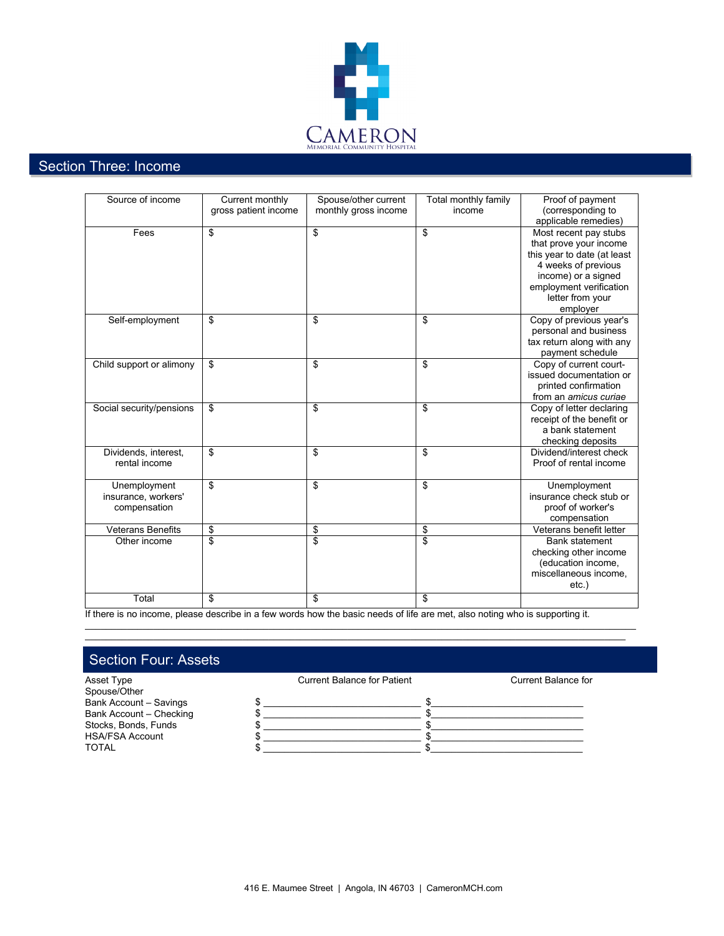

# Section Three: Income

| gross patient income<br>monthly gross income<br>(corresponding to<br>income<br>applicable remedies)<br>\$<br>\$<br>\$<br>Most recent pay stubs<br>Fees<br>that prove your income<br>this year to date (at least<br>4 weeks of previous<br>income) or a signed |                  |                 |                      |                      |                         |
|---------------------------------------------------------------------------------------------------------------------------------------------------------------------------------------------------------------------------------------------------------------|------------------|-----------------|----------------------|----------------------|-------------------------|
|                                                                                                                                                                                                                                                               | Source of income | Current monthly | Spouse/other current | Total monthly family | Proof of payment        |
|                                                                                                                                                                                                                                                               |                  |                 |                      |                      |                         |
|                                                                                                                                                                                                                                                               |                  |                 |                      |                      |                         |
|                                                                                                                                                                                                                                                               |                  |                 |                      |                      |                         |
|                                                                                                                                                                                                                                                               |                  |                 |                      |                      |                         |
|                                                                                                                                                                                                                                                               |                  |                 |                      |                      |                         |
|                                                                                                                                                                                                                                                               |                  |                 |                      |                      |                         |
|                                                                                                                                                                                                                                                               |                  |                 |                      |                      |                         |
|                                                                                                                                                                                                                                                               |                  |                 |                      |                      | employment verification |
| letter from your                                                                                                                                                                                                                                              |                  |                 |                      |                      |                         |
| employer                                                                                                                                                                                                                                                      |                  |                 |                      |                      |                         |
| Self-employment<br>\$<br>\$<br>\$<br>Copy of previous year's                                                                                                                                                                                                  |                  |                 |                      |                      |                         |
| personal and business                                                                                                                                                                                                                                         |                  |                 |                      |                      |                         |
| tax return along with any                                                                                                                                                                                                                                     |                  |                 |                      |                      |                         |
| payment schedule                                                                                                                                                                                                                                              |                  |                 |                      |                      |                         |
| Child support or alimony<br>\$<br>\$<br>\$<br>Copy of current court-                                                                                                                                                                                          |                  |                 |                      |                      |                         |
| issued documentation or                                                                                                                                                                                                                                       |                  |                 |                      |                      |                         |
| printed confirmation                                                                                                                                                                                                                                          |                  |                 |                      |                      |                         |
| from an <i>amicus</i> curiae                                                                                                                                                                                                                                  |                  |                 |                      |                      |                         |
| \$<br>\$<br>\$<br>Social security/pensions<br>Copy of letter declaring                                                                                                                                                                                        |                  |                 |                      |                      |                         |
| receipt of the benefit or                                                                                                                                                                                                                                     |                  |                 |                      |                      |                         |
| a bank statement                                                                                                                                                                                                                                              |                  |                 |                      |                      |                         |
| checking deposits                                                                                                                                                                                                                                             |                  |                 |                      |                      |                         |
| \$<br>\$<br>\$<br>Dividend/interest check<br>Dividends, interest,                                                                                                                                                                                             |                  |                 |                      |                      |                         |
| rental income<br>Proof of rental income                                                                                                                                                                                                                       |                  |                 |                      |                      |                         |
|                                                                                                                                                                                                                                                               |                  |                 |                      |                      |                         |
| \$<br>\$<br>\$<br>Unemployment<br>Unemployment                                                                                                                                                                                                                |                  |                 |                      |                      |                         |
| insurance, workers'<br>insurance check stub or                                                                                                                                                                                                                |                  |                 |                      |                      |                         |
| proof of worker's<br>compensation                                                                                                                                                                                                                             |                  |                 |                      |                      |                         |
| compensation                                                                                                                                                                                                                                                  |                  |                 |                      |                      |                         |
| \$<br>\$<br><b>Veterans Benefits</b><br>\$<br>Veterans benefit letter                                                                                                                                                                                         |                  |                 |                      |                      |                         |
| $\overline{\mathbf{s}}$<br>\$<br>\$<br>Other income<br><b>Bank statement</b>                                                                                                                                                                                  |                  |                 |                      |                      |                         |
| checking other income                                                                                                                                                                                                                                         |                  |                 |                      |                      |                         |
| (education income,                                                                                                                                                                                                                                            |                  |                 |                      |                      |                         |
| miscellaneous income,                                                                                                                                                                                                                                         |                  |                 |                      |                      |                         |
| $etc.$ )                                                                                                                                                                                                                                                      |                  |                 |                      |                      |                         |
| \$<br>Total<br>\$<br>\$                                                                                                                                                                                                                                       |                  |                 |                      |                      |                         |

If there is no income, please describe in a few words how the basic needs of life are met, also noting who is supporting it.

\_\_\_\_\_\_\_\_\_\_\_\_\_\_\_\_\_\_\_\_\_\_\_\_\_\_\_\_\_\_\_\_\_\_\_\_\_\_\_\_\_\_\_\_\_\_\_\_\_\_\_\_\_\_\_\_\_\_\_\_\_\_\_\_\_\_\_\_\_\_\_\_\_\_\_\_\_\_\_\_\_\_\_\_\_\_\_\_\_\_\_\_\_\_\_\_\_\_\_\_\_\_\_\_\_ \_\_\_\_\_\_\_\_\_\_\_\_\_\_\_\_\_\_\_\_\_\_\_\_\_\_\_\_\_\_\_\_\_\_\_\_\_\_\_\_\_\_\_\_\_\_\_\_\_\_\_\_\_\_\_\_\_\_\_\_\_\_\_\_\_\_\_\_\_\_\_\_\_\_\_\_\_\_\_\_\_\_\_\_\_\_\_\_\_\_\_\_\_\_\_\_\_\_\_\_\_\_\_

# Section Four: Assets

| Asset Type              | <b>Current Balance for Patient</b> | Current Balance for |  |
|-------------------------|------------------------------------|---------------------|--|
| Spouse/Other            |                                    |                     |  |
| Bank Account - Savings  |                                    |                     |  |
| Bank Account - Checking |                                    |                     |  |
| Stocks, Bonds, Funds    |                                    |                     |  |
| <b>HSA/FSA Account</b>  |                                    |                     |  |
| <b>TOTAL</b>            |                                    |                     |  |